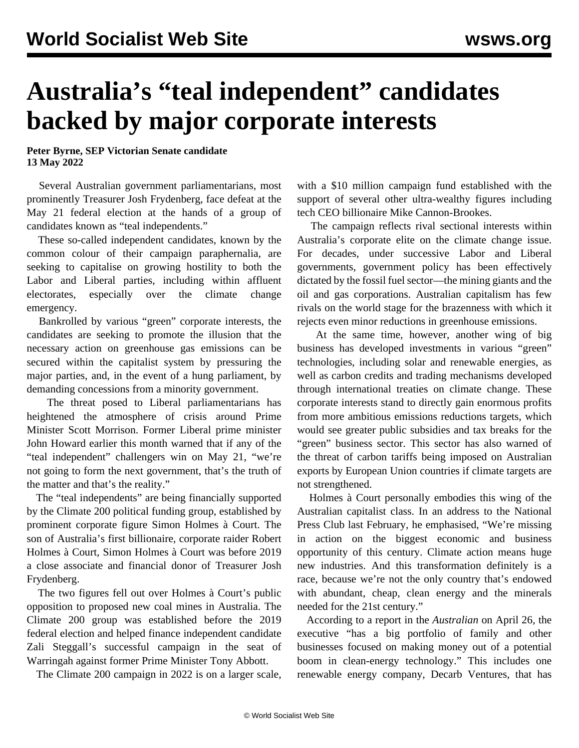## **Australia's "teal independent" candidates backed by major corporate interests**

**Peter Byrne, SEP Victorian Senate candidate 13 May 2022**

 Several Australian government parliamentarians, most prominently Treasurer Josh Frydenberg, face defeat at the May 21 federal election at the hands of a group of candidates known as "teal independents."

 These so-called independent candidates, known by the common colour of their campaign paraphernalia, are seeking to capitalise on growing hostility to both the Labor and Liberal parties, including within affluent electorates, especially over the climate change emergency.

 Bankrolled by various "green" corporate interests, the candidates are seeking to promote the illusion that the necessary action on greenhouse gas emissions can be secured within the capitalist system by pressuring the major parties, and, in the event of a hung parliament, by demanding concessions from a minority government.

 The threat posed to Liberal parliamentarians has heightened the atmosphere of crisis around Prime Minister Scott Morrison. Former Liberal prime minister John Howard earlier this month warned that if any of the "teal independent" challengers win on May 21, "we're not going to form the next government, that's the truth of the matter and that's the reality."

 The "teal independents" are being financially supported by the Climate 200 political funding group, established by prominent corporate figure Simon Holmes à Court. The son of Australia's first billionaire, corporate raider Robert Holmes à Court, Simon Holmes à Court was before 2019 a close associate and financial donor of Treasurer Josh Frydenberg.

 The two figures fell out over Holmes à Court's public opposition to proposed new coal mines in Australia. The Climate 200 group was established before the 2019 federal election and helped finance independent candidate Zali Steggall's successful campaign in the seat of Warringah against former Prime Minister Tony Abbott.

The Climate 200 campaign in 2022 is on a larger scale,

with a \$10 million campaign fund established with the support of several other ultra-wealthy figures including tech CEO billionaire Mike Cannon-Brookes.

 The campaign reflects rival sectional interests within Australia's corporate elite on the climate change issue. For decades, under successive Labor and Liberal governments, government policy has been effectively dictated by the fossil fuel sector—the mining giants and the oil and gas corporations. Australian capitalism has few rivals on the world stage for the brazenness with which it rejects even minor reductions in greenhouse emissions.

 At the same time, however, another wing of big business has developed investments in various "green" technologies, including solar and renewable energies, as well as carbon credits and trading mechanisms developed through international treaties on climate change. These corporate interests stand to directly gain enormous profits from more ambitious emissions reductions targets, which would see greater public subsidies and tax breaks for the "green" business sector. This sector has also warned of the threat of carbon tariffs being imposed on Australian exports by European Union countries if climate targets are not strengthened.

 Holmes à Court personally embodies this wing of the Australian capitalist class. In an address to the National Press Club last February, he emphasised, "We're missing in action on the biggest economic and business opportunity of this century. Climate action means huge new industries. And this transformation definitely is a race, because we're not the only country that's endowed with abundant, cheap, clean energy and the minerals needed for the 21st century."

 According to a report in the *Australian* on April 26, the executive "has a big portfolio of family and other businesses focused on making money out of a potential boom in clean-energy technology." This includes one renewable energy company, Decarb Ventures, that has